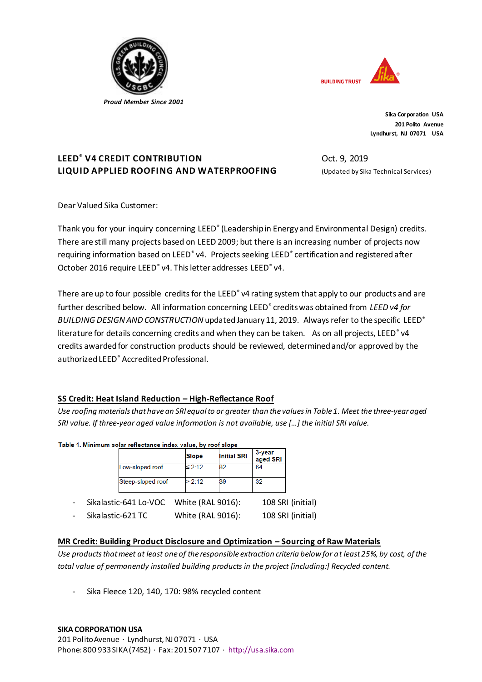

 *Proud Member Since 2001*



**Sika Corporation USA 201 Polito Avenue Lyndhurst, NJ 07071 USA**

# **LEED® V4 CREDIT CONTRIBUTION LIQUID APPLIED ROOFING AND WATERPROOFING**

Oct. 9, 2019 (Updated by Sika Technical Services)

Dear Valued Sika Customer:

Thank you for your inquiry concerning LEED<sup>®</sup> (Leadership in Energy and Environmental Design) credits. There are still many projects based on LEED 2009; but there is an increasing number of projects now requiring information based on LEED<sup>®</sup> v4. Projects seeking LEED<sup>®</sup> certification and registered after October 2016 require LEED<sup>®</sup> v4. This letter addresses LEED<sup>®</sup> v4.

There are up to four possible credits for the LEED<sup>®</sup> v4 rating system that apply to our products and are further described below. All information concerning LEED<sup>®</sup> credits was obtained from *LEED v4 for BUILDING DESIGN AND CONSTRUCTION* updated January 11, 2019. Always refer to the specific LEED® literature for details concerning credits and when they can be taken. As on all projects, LEED<sup>®</sup> v4 credits awarded for construction products should be reviewed, determined and/or approved by the authorized LEED® Accredited Professional.

## **SS Credit: Heat Island Reduction – High-Reflectance Roof**

*Use roofing materials that have an SRI equal to or greater than the values in Table 1. Meet the three-year aged SRI value. If three-year aged value information is not available, use […] the initial SRI value.* 

#### Table 1. Minimum solar reflectance index value, by roof slope

|                          |                       | <b>Slope</b> |                   | 3-year<br>aged SRI<br><b>Initial SRI</b> |                   |
|--------------------------|-----------------------|--------------|-------------------|------------------------------------------|-------------------|
|                          | Low-sloped roof       | $\leq 2:12$  | 82                | 64                                       |                   |
|                          | Steep-sloped roof     | >2:12        | 39                | 32                                       |                   |
| $\overline{\phantom{0}}$ | Sikalastic-641 Lo-VOC |              | White (RAL 9016): |                                          | 108 SRI (initial) |

Sikalastic-621 TC White (RAL 9016): 108 SRI (initial)

## **MR Credit: Building Product Disclosure and Optimization – Sourcing of Raw Materials**

*Use products that meet at least one of the responsible extraction criteria below for at least 25%, by cost, of the total value of permanently installed building products in the project [including:] Recycled content.*

Sika Fleece 120, 140, 170: 98% recycled content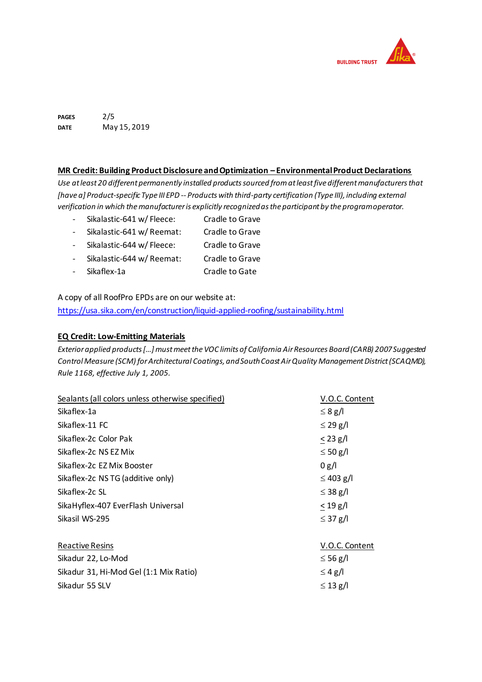

**PAGES DATE** 2/5 May 15, 2019

#### **MR Credit: Building Product Disclosure and Optimization – Environmental Product Declarations**

*Use at least 20 different permanently installed products sourced from at least five different manufacturers that [have a] Product-specific Type III EPD -- Products with third-party certification (Type III), including external verification in which the manufacturer is explicitly recognized as the participant by the program operator.*

- Sikalastic-641 w/ Fleece: Cradle to Grave
- Sikalastic-641 w/ Reemat: Cradle to Grave
- Sikalastic-644 w/ Fleece: Cradle to Grave
- Sikalastic-644 w/ Reemat: Cradle to Grave
- Sikaflex-1a Cradle to Gate

A copy of all RoofPro EPDs are on our website at: <https://usa.sika.com/en/construction/liquid-applied-roofing/sustainability.html>

#### **EQ Credit: Low-Emitting Materials**

*Exterior applied products […] must meet the VOC limits of California Air Resources Board (CARB) 2007 Suggested Control Measure (SCM) for Architectural Coatings, and South Coast Air Quality Management District (SCAQMD), Rule 1168, effective July 1, 2005.*

| V.O.C. Content |
|----------------|
| $\leq 8$ g/l   |
| $\leq$ 29 g/l  |
| $< 23$ g/l     |
| $\leq 50$ g/l  |
| 0 g/l          |
| $\leq$ 403 g/l |
| $\leq$ 38 g/l  |
| $< 19$ g/l     |
| $\leq$ 37 g/l  |
|                |
| V.O.C. Content |
| $\leq$ 56 g/l  |
| $\leq 4$ g/l   |
| $\leq$ 13 g/l  |
|                |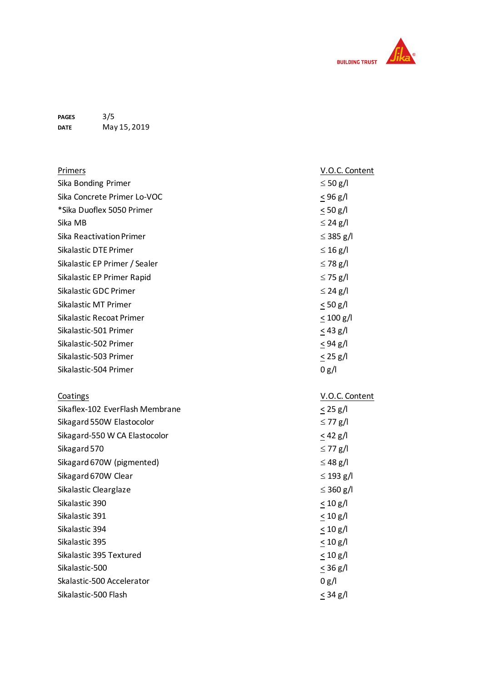

**PAGES DATE** 3 / 5 May 15 , 201 9

| <b>Primers</b>                  | V.O.C. Content |
|---------------------------------|----------------|
| Sika Bonding Primer             | $\leq 50$ g/l  |
| Sika Concrete Primer Lo-VOC     | $< 96$ g/l     |
| *Sika Duoflex 5050 Primer       | $\leq 50$ g/l  |
| Sika MB                         | $\leq$ 24 g/l  |
| Sika Reactivation Primer        | $\leq$ 385 g/l |
| Sikalastic DTE Primer           | $\leq 16$ g/l  |
| Sikalastic EP Primer / Sealer   | $\leq$ 78 g/l  |
| Sikalastic EP Primer Rapid      | $\leq$ 75 g/l  |
| Sikalastic GDC Primer           | $\leq$ 24 g/l  |
| Sikalastic MT Primer            | < 50 g/l       |
| Sikalastic Recoat Primer        | $\leq 100$ g/l |
| Sikalastic-501 Primer           | $\leq$ 43 g/l  |
| Sikalastic-502 Primer           | $\leq$ 94 g/l  |
| Sikalastic-503 Primer           | $\leq$ 25 g/l  |
| Sikalastic-504 Primer           | 0 g/l          |
|                                 |                |
|                                 |                |
| Coatings                        | V.O.C. Content |
| Sikaflex-102 EverFlash Membrane | $< 25$ g/l     |
| Sikagard 550W Elastocolor       | $\leq$ 77 g/l  |
| Sikagard-550 W CA Elastocolor   | $<$ 42 g/l     |
| Sikagard 570                    | $\leq$ 77 g/l  |
| Sikagard 670W (pigmented)       | $\leq$ 48 g/l  |
| Sikagard 670W Clear             | $\leq$ 193 g/l |
| Sikalastic Clearglaze           | $\leq$ 360 g/l |
| Sikalastic 390                  | $\leq 10$ g/l  |
| Sikalastic 391                  | $\leq 10$ g/l  |
| Sikalastic 394                  | $\leq 10$ g/l  |
| Sikalastic 395                  | $\leq 10$ g/l  |
| Sikalastic 395 Textured         | $\leq 10$ g/l  |
| Sikalastic-500                  | < 36 g/l       |
| Skalastic-500 Accelerator       | 0 g/l          |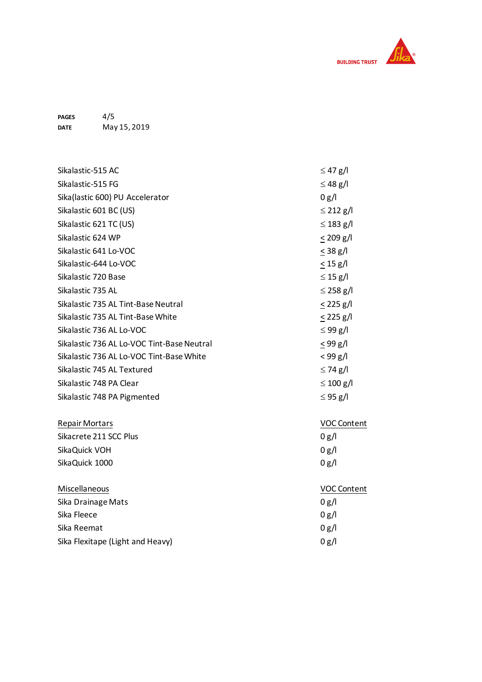

**PAGES DATE** 4/5 May 15, 2019

| Sikalastic-515 AC                          | $\leq$ 47 g/l      |
|--------------------------------------------|--------------------|
| Sikalastic-515 FG                          | $\leq$ 48 g/l      |
| Sika(lastic 600) PU Accelerator            | 0 g/l              |
| Sikalastic 601 BC (US)                     | $\leq$ 212 g/l     |
| Sikalastic 621 TC (US)                     | $\leq$ 183 g/l     |
| Sikalastic 624 WP                          | $< 209$ g/l        |
| Sikalastic 641 Lo-VOC                      | $<$ 38 g/l         |
| Sikalastic-644 Lo-VOC                      | < 15 g/l           |
| Sikalastic 720 Base                        | $\leq$ 15 g/l      |
| Sikalastic 735 AL                          | $\leq$ 258 g/l     |
| Sikalastic 735 AL Tint-Base Neutral        | $< 225$ g/l        |
| Sikalastic 735 AL Tint-Base White          | $< 225$ g/l        |
| Sikalastic 736 AL Lo-VOC                   | $\leq$ 99 g/l      |
| Sikalastic 736 AL Lo-VOC Tint-Base Neutral | $<$ 99 g/l         |
| Sikalastic 736 AL Lo-VOC Tint-Base White   | < 99 g/l           |
| Sikalastic 745 AL Textured                 | $\leq$ 74 g/l      |
| Sikalastic 748 PA Clear                    | $\leq 100$ g/l     |
| Sikalastic 748 PA Pigmented                | $\leq$ 95 g/l      |
| <b>Repair Mortars</b>                      | <b>VOC Content</b> |
| Sikacrete 211 SCC Plus                     | 0 g/l              |
| SikaQuick VOH                              | 0 g/l              |
| SikaQuick 1000                             | 0 g/l              |
| Miscellaneous                              | VOC Content        |
| Sika Drainage Mats                         | 0 g/l              |
| Sika Fleece                                | 0 g/l              |
| Sika Reemat                                | 0 g/l              |
| Sika Flexitape (Light and Heavy)           | 0 g/l              |
|                                            |                    |